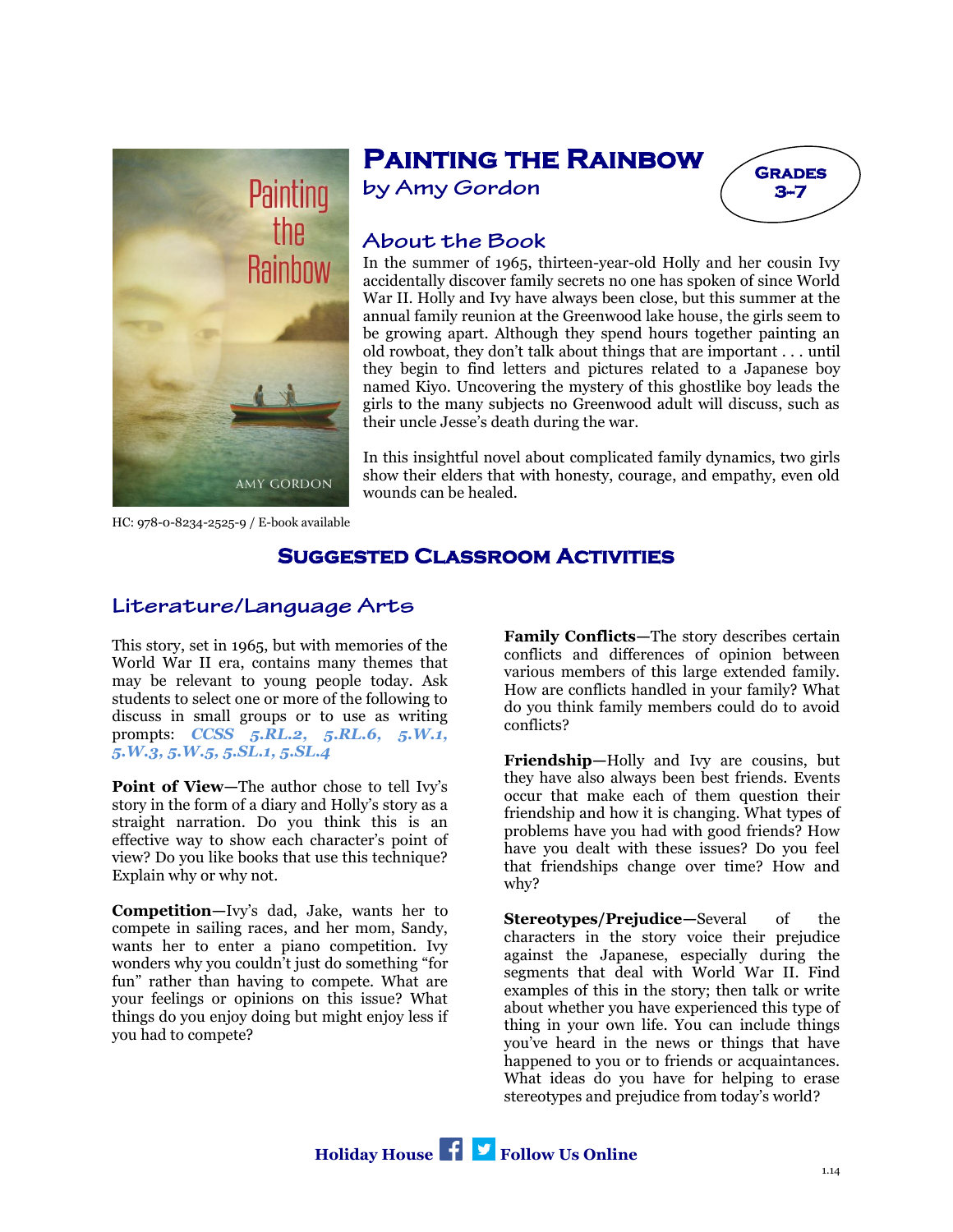

# **Painting the Rainbow**

by Amy Gordon



### About the Book

In the summer of 1965, thirteen-year-old Holly and her cousin Ivy accidentally discover family secrets no one has spoken of since World War II. Holly and Ivy have always been close, but this summer at the annual family reunion at the Greenwood lake house, the girls seem to be growing apart. Although they spend hours together painting an old rowboat, they don't talk about things that are important . . . until they begin to find letters and pictures related to a Japanese boy named Kiyo. Uncovering the mystery of this ghostlike boy leads the girls to the many subjects no Greenwood adult will discuss, such as their uncle Jesse's death during the war.

In this insightful novel about complicated family dynamics, two girls show their elders that with honesty, courage, and empathy, even old wounds can be healed.

HC: 978-0-8234-2525-9 / E-book available

# **Suggested Classroom Activities**

## Literature/Language Arts

This story, set in 1965, but with memories of the World War II era, contains many themes that may be relevant to young people today. Ask students to select one or more of the following to discuss in small groups or to use as writing prompts: *CCSS 5.RL.2, 5.RL.6, 5.W.1, 5.W.3, 5.W.5, 5.SL.1, 5.SL.4*

**Point of View-The author chose to tell Ivy's** story in the form of a diary and Holly's story as a straight narration. Do you think this is an effective way to show each character's point of view? Do you like books that use this technique? Explain why or why not.

**Competition—**Ivy's dad, Jake, wants her to compete in sailing races, and her mom, Sandy, wants her to enter a piano competition. Ivy wonders why you couldn't just do something "for fun" rather than having to compete. What are your feelings or opinions on this issue? What things do you enjoy doing but might enjoy less if you had to compete?

**Family Conflicts—**The story describes certain conflicts and differences of opinion between various members of this large extended family. How are conflicts handled in your family? What do you think family members could do to avoid conflicts?

**Friendship—**Holly and Ivy are cousins, but they have also always been best friends. Events occur that make each of them question their friendship and how it is changing. What types of problems have you had with good friends? How have you dealt with these issues? Do you feel that friendships change over time? How and why?

**Stereotypes/Prejudice—Several** of the characters in the story voice their prejudice against the Japanese, especially during the segments that deal with World War II. Find examples of this in the story; then talk or write about whether you have experienced this type of thing in your own life. You can include things you've heard in the news or things that have happened to you or to friends or acquaintances. What ideas do you have for helping to erase stereotypes and prejudice from today's world?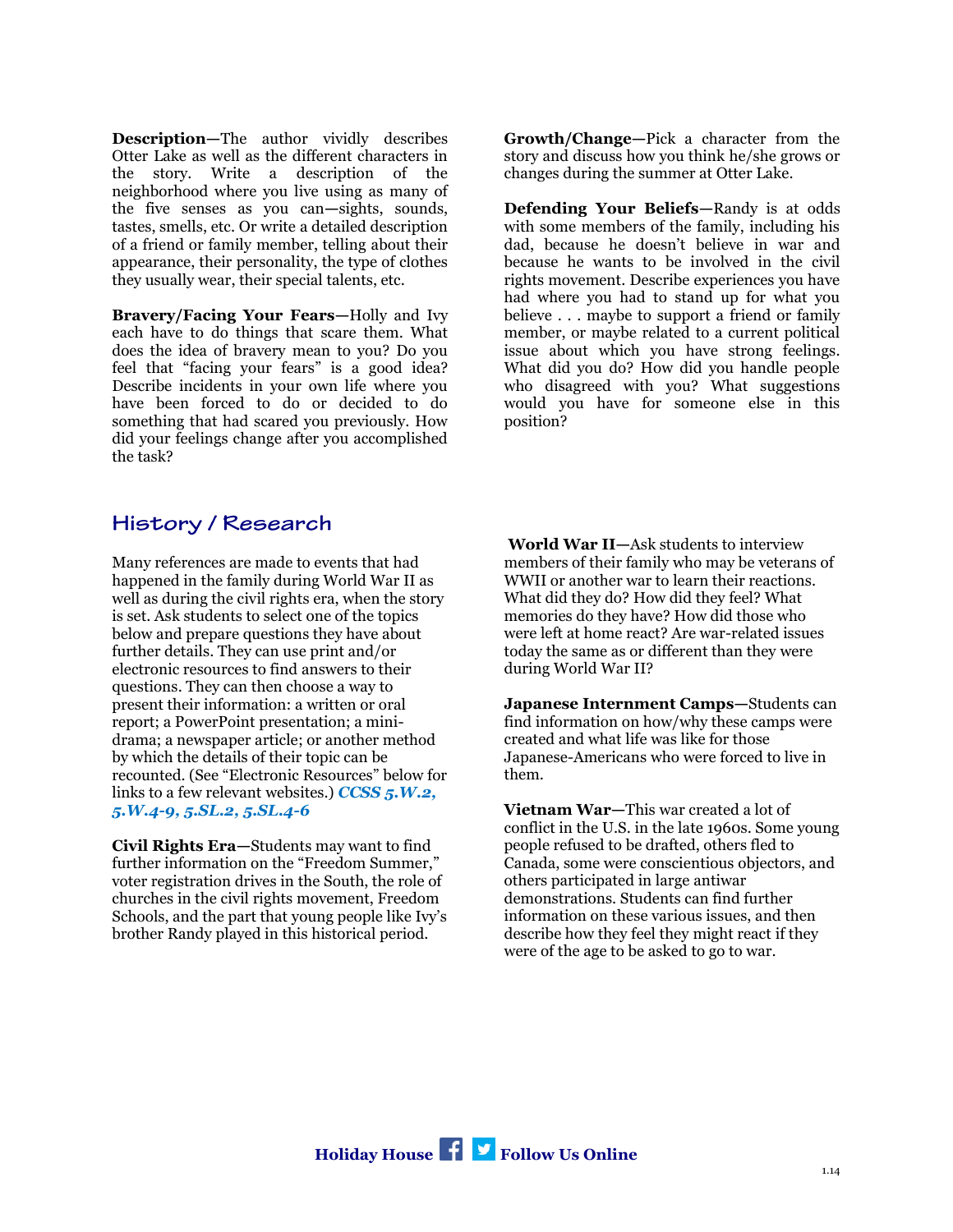**Description—**The author vividly describes Otter Lake as well as the different characters in the story. Write a description of the neighborhood where you live using as many of the five senses as you can**—**sights, sounds, tastes, smells, etc. Or write a detailed description of a friend or family member, telling about their appearance, their personality, the type of clothes they usually wear, their special talents, etc.

**Bravery/Facing Your Fears—**Holly and Ivy each have to do things that scare them. What does the idea of bravery mean to you? Do you feel that "facing your fears" is a good idea? Describe incidents in your own life where you have been forced to do or decided to do something that had scared you previously. How did your feelings change after you accomplished the task?

**Growth/Change—**Pick a character from the story and discuss how you think he/she grows or changes during the summer at Otter Lake.

**Defending Your Beliefs—**Randy is at odds with some members of the family, including his dad, because he doesn't believe in war and because he wants to be involved in the civil rights movement. Describe experiences you have had where you had to stand up for what you believe . . . maybe to support a friend or family member, or maybe related to a current political issue about which you have strong feelings. What did you do? How did you handle people who disagreed with you? What suggestions would you have for someone else in this position?

### History / Research

Many references are made to events that had happened in the family during World War II as well as during the civil rights era, when the story is set. Ask students to select one of the topics below and prepare questions they have about further details. They can use print and/or electronic resources to find answers to their questions. They can then choose a way to present their information: a written or oral report; a PowerPoint presentation; a minidrama; a newspaper article; or another method by which the details of their topic can be recounted. (See "Electronic Resources" below for links to a few relevant websites.) *CCSS 5.W.2, 5.W.4-9, 5.SL.2, 5.SL.4-6*

**Civil Rights Era—**Students may want to find further information on the "Freedom Summer," voter registration drives in the South, the role of churches in the civil rights movement, Freedom Schools, and the part that young people like Ivy's brother Randy played in this historical period.

**World War II—**Ask students to interview members of their family who may be veterans of WWII or another war to learn their reactions. What did they do? How did they feel? What memories do they have? How did those who were left at home react? Are war-related issues today the same as or different than they were during World War II?

**Japanese Internment Camps—**Students can find information on how/why these camps were created and what life was like for those Japanese-Americans who were forced to live in them.

**Vietnam War—**This war created a lot of conflict in the U.S. in the late 1960s. Some young people refused to be drafted, others fled to Canada, some were conscientious objectors, and others participated in large antiwar demonstrations. Students can find further information on these various issues, and then describe how they feel they might react if they were of the age to be asked to go to war.